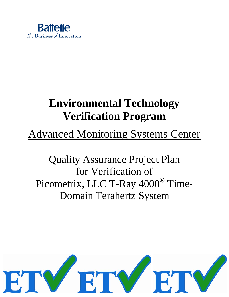

# **Environmental Technology Verification Program**

# Advanced Monitoring Systems Center

Quality Assurance Project Plan for Verification of Picometrix, LLC T-Ray 4000® Time-Domain Terahertz System

<span id="page-0-0"></span>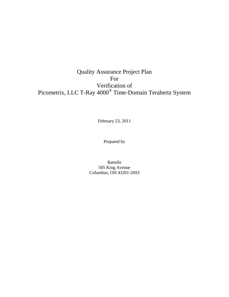# Quality Assurance Project Plan For Verification of Picometrix, LLC T-Ray 4000® Time-Domain Terahertz System

February 23, 2011

Prepared by

Battelle 505 King Avenue Columbus, OH 43201-2693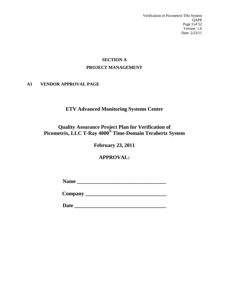Verification of Picometrix THz System QAPP Page 3 of 52 Version 1.0 Date: 2/23/11

# **SECTION A PROJECT MANAGEMENT**

## <span id="page-2-1"></span><span id="page-2-0"></span>**A1 VENDOR APPROVAL PAGE**

# **ETV Advanced Monitoring Systems Center**

# **Quality Assurance Project Plan for Verification of Picometrix, LLC T-Ray 4000® Time-Domain Terahertz System**

# **February 23, 2011**

# **APPROVAL:**

**Name \_\_\_\_\_\_\_\_\_\_\_\_\_\_\_\_\_\_\_\_\_\_\_\_\_\_\_\_\_\_\_\_\_\_**

**Company \_\_\_\_\_\_\_\_\_\_\_\_\_\_\_\_\_\_\_\_\_\_\_\_\_\_\_\_\_\_\_**

**Date \_\_\_\_\_\_\_\_\_\_\_\_\_\_\_\_\_\_\_\_\_\_\_\_\_\_\_\_\_\_\_\_\_\_\_**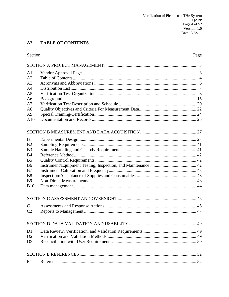#### <span id="page-3-0"></span> $A2$ **TABLE OF CONTENTS**

| Section        | Page |
|----------------|------|
|                |      |
| A <sub>1</sub> |      |
| A <sub>2</sub> |      |
| A <sub>3</sub> |      |
| A <sub>4</sub> |      |
| A <sub>5</sub> |      |
| A6             |      |
| A7             |      |
| A8             |      |
| A <sup>9</sup> |      |
| A10            |      |
|                |      |
| B1             |      |
| B <sub>2</sub> |      |
| B <sub>3</sub> |      |
| <b>B4</b>      |      |
| B <sub>5</sub> |      |
| <b>B6</b>      |      |
| B7             |      |
| B <sub>8</sub> |      |
| <b>B</b> 9     |      |
| <b>B10</b>     |      |
|                |      |
| C <sub>1</sub> |      |
| C <sub>2</sub> |      |
|                |      |
| D <sub>1</sub> |      |
| D2             |      |
| D <sub>3</sub> |      |
|                |      |
| E1             |      |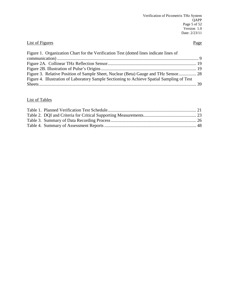# **List of Figures** Page

| Figure 1. Organization Chart for the Verification Test (dotted lines indicate lines of     |  |
|--------------------------------------------------------------------------------------------|--|
|                                                                                            |  |
|                                                                                            |  |
|                                                                                            |  |
| Figure 3. Relative Position of Sample Sheet, Nuclear (Beta) Gauge and THz Sensor 28        |  |
| Figure 4. Illustration of Laboratory Sample Sectioning to Achieve Spatial Sampling of Test |  |
|                                                                                            |  |

# List of Tables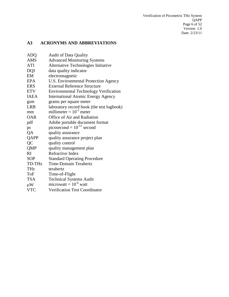Verification of Picometrix THz System QAPP Page 6 of 52 Version 1.0 Date: 2/23/11

# <span id="page-5-0"></span>**A3 ACRONYMS AND ABBREVIATIONS**

| <b>ADQ</b>    | <b>Audit of Data Quality</b>                 |
|---------------|----------------------------------------------|
| <b>AMS</b>    | <b>Advanced Monitoring Systems</b>           |
| <b>ATI</b>    | Alternative Technologies Initiative          |
| <b>DQI</b>    | data quality indicator                       |
| EM            | electromagnetic                              |
| <b>EPA</b>    | U.S. Environmental Protection Agency         |
| <b>ERS</b>    | <b>External Reference Structure</b>          |
| <b>ETV</b>    | <b>Environmental Technology Verification</b> |
| <b>IAEA</b>   | <b>International Atomic Energy Agency</b>    |
| gsm           | grams per square meter                       |
| <b>LRB</b>    | laboratory record book (the test logbook)    |
| mm            | millimeter = $10^{-3}$ meter                 |
| <b>OAR</b>    | Office of Air and Radiation                  |
| pdf           | Adobe portable document format               |
| ps            | picosecond = $10^{-12}$ second               |
| QA            | quality assurance                            |
| QAPP          | quality assurance project plan               |
| QC            | quality control                              |
| <b>QMP</b>    | quality management plan                      |
| RI            | <b>Refractive Index</b>                      |
| <b>SOP</b>    | <b>Standard Operating Procedure</b>          |
| <b>TD-THz</b> | <b>Time-Domain Terahertz</b>                 |
| THz           | terahertz                                    |
| <b>ToF</b>    | Time-of-Flight                               |
| <b>TSA</b>    | <b>Technical Systems Audit</b>               |
| $\mu$ W       | microwatt = $10^{-6}$ watt                   |
| <b>VTC</b>    | Verification Test Coordinator                |
|               |                                              |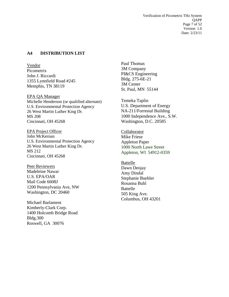Verification of Picometrix THz System **OAPP** Page 7 of 52 Version 1.0 Date: 2/23/11

#### <span id="page-6-0"></span>**A4 DISTRIBUTION LIST**

Vendor Picometrix John J. Riccardi 1355 Lynnfield Road #245 Memphis, TN 38119

EPA QA Manager Michelle Henderson (or qualified alternate) U.S. Environmental Protection Agency 26 West Martin Luther King Dr. MS 208 Cincinnati, OH 45268

EPA Project Officer John McKernan U.S. Environmental Protection Agency 26 West Martin Luther King Dr. MS 212 Cincinnati, OH 45268

Peer Reviewers Madeleine Nawar U.S. EPA/OAR Mail Code 6608J 1200 Pennsylvania Ave, NW Washington, DC 20460

Michael Barlament Kimberly-Clark Corp. 1400 Holcomb Bridge Road Bldg.300 Roswell, GA 30076

Paul Thomas 3M Company PI&CS Engineering Bldg. 275-6E-21 3M Center St. Paul, MN 55144

Temeka Taplin U.S. Department of Energy NA-211/Forrestal Building 1000 Independence Ave., S.W. Washington, D.C. 20585

Collaborator Mike Friese Appleton Paper 1000 North Lawe Street Appleton, WI 54912-0359

Battelle Dawn Deojay Amy Dindal Stephanie Buehler Rosanna Buhl Battelle 505 King Ave. Columbus, OH 43201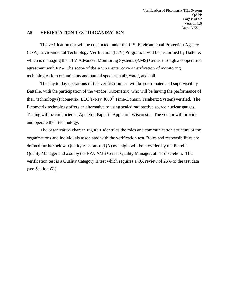#### <span id="page-7-0"></span>**A5 VERIFICATION TEST ORGANIZATION**

The verification test will be conducted under the U.S. Environmental Protection Agency (EPA) Environmental Technology Verification (ETV) Program. It will be performed by Battelle, which is managing the ETV Advanced Monitoring Systems (AMS) Center through a cooperative agreement with EPA. The scope of the AMS Center covers verification of monitoring technologies for contaminants and natural species in air, water, and soil.

The day to day operations of this verification test will be coordinated and supervised by Battelle, with the participation of the vendor (Picometrix) who will be having the performance of their technology (Picometrix, LLC T-Ray 4000® Time-Domain Terahertz System) verified. The Picometrix technology offers an alternative to using sealed radioactive source nuclear gauges. Testing will be conducted at Appleton Paper in Appleton, Wisconsin. The vendor will provide and operate their technology.

The organization chart in Figure 1 identifies the roles and communication structure of the organizations and individuals associated with the verification test. Roles and responsibilities are defined further below. Quality Assurance (QA) oversight will be provided by the Battelle Quality Manager and also by the EPA AMS Center Quality Manager, at her discretion. This verification test is a Quality Category II test which requires a QA review of 25% of the test data (see Section C1).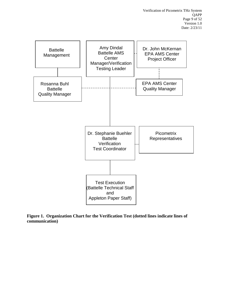

<span id="page-8-0"></span>**Figure 1. Organization Chart for the Verification Test (dotted lines indicate lines of communication)**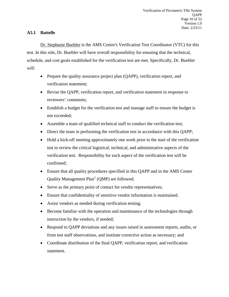#### **A5.1 Battelle**

Dr. Stephanie Buehler is the AMS Center's Verification Test Coordinator (VTC) for this test. In this role, Dr. Buehler will have overall responsibility for ensuring that the technical, schedule, and cost goals established for the verification test are met. Specifically, Dr. Buehler will:

- Prepare the quality assurance project plan (QAPP), verification report, and verification statement;
- Revise the OAPP, verification report, and verification statement in response to reviewers' comments;
- Establish a budget for the verification test and manage staff to ensure the budget is not exceeded;
- Assemble a team of qualified technical staff to conduct the verification test;
- Direct the team in performing the verification test in accordance with this QAPP;
- Hold a kick-off meeting approximately one week prior to the start of the verification test to review the critical logistical, technical, and administrative aspects of the verification test. Responsibility for each aspect of the verification test will be confirmed;
- Ensure that all quality procedures specified in this QAPP and in the AMS Center Quality Management  $Plan<sup>1</sup>$  (OMP) are followed;
- Serve as the primary point of contact for vendor representatives;
- Ensure that confidentiality of sensitive vendor information is maintained.
- Assist vendors as needed during verification testing;
- Become familiar with the operation and maintenance of the technologies through instruction by the vendors, if needed;
- Respond to QAPP deviations and any issues raised in assessment reports, audits, or from test staff observations, and institute corrective action as necessary; and
- Coordinate distribution of the final QAPP, verification report, and verification statement.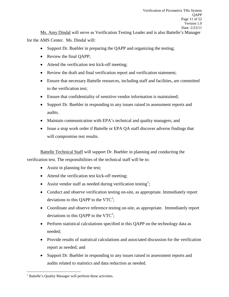Ms. Amy Dindal will serve as Verification Testing Leader and is also Battelle's Manager for the AMS Center. Ms. Dindal will:

- Support Dr. Buehler in preparing the OAPP and organizing the testing;
- Review the final QAPP;
- Attend the verification test kick-off meeting;
- Review the draft and final verification report and verification statement;
- Ensure that necessary Battelle resources, including staff and facilities, are committed to the verification test;
- Ensure that confidentiality of sensitive vendor information is maintained;
- Support Dr. Buehler in responding to any issues raised in assessment reports and audits.
- Maintain communication with EPA's technical and quality managers; and
- Issue a stop work order if Battelle or EPA OA staff discover adverse findings that will compromise test results.

Battelle Technical Staff will support Dr. Buehler in planning and conducting the verification test. The responsibilities of the technical staff will be to:

- Assist in planning for the test;
- Attend the verification test kick-off meeting;
- Assist vendor staff as needed during verification testing<sup>[1](#page-0-0)</sup>;
- Conduct and observe verification testing on-site, as appropriate. Immediately report deviations to this QAPP to the VTC<sup>1</sup>;
- Coordinate and observe reference testing on-site, as appropriate. Immediately report deviations to this QAPP to the VTC<sup>1</sup>;
- Perform statistical calculations specified in this OAPP on the technology data as needed;
- Provide results of statistical calculations and associated discussion for the verification report as needed; and
- Support Dr. Buehler in responding to any issues raised in assessment reports and audits related to statistics and data reduction as needed.

<sup>&</sup>lt;sup>1</sup> Battelle's Quality Manager will perform these activities.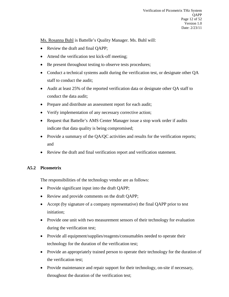Ms. Rosanna Buhl is Battelle's Quality Manager. Ms. Buhl will:

- Review the draft and final OAPP;
- Attend the verification test kick-off meeting;
- Be present throughout testing to observe tests procedures;
- Conduct a technical systems audit during the verification test, or designate other QA staff to conduct the audit;
- Audit at least 25% of the reported verification data or designate other QA staff to conduct the data audit;
- Prepare and distribute an assessment report for each audit;
- Verify implementation of any necessary corrective action;
- Request that Battelle's AMS Center Manager issue a stop work order if audits indicate that data quality is being compromised;
- Provide a summary of the QA/QC activities and results for the verification reports; and
- Review the draft and final verification report and verification statement.

#### **A5.2 Picometrix**

The responsibilities of the technology vendor are as follows:

- Provide significant input into the draft QAPP;
- Review and provide comments on the draft QAPP;
- Accept (by signature of a company representative) the final QAPP prior to test initiation;
- Provide one unit with two measurement sensors of their technology for evaluation during the verification test;
- Provide all equipment/supplies/reagents/consumables needed to operate their technology for the duration of the verification test;
- Provide an appropriately trained person to operate their technology for the duration of the verification test;
- Provide maintenance and repair support for their technology, on-site if necessary, throughout the duration of the verification test;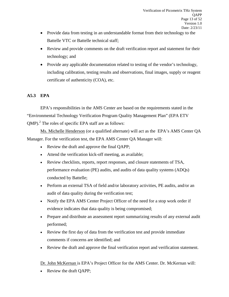- Provide data from testing in an understandable format from their technology to the Battelle VTC or Battelle technical staff;
- Review and provide comments on the draft verification report and statement for their technology; and
- Provide any applicable documentation related to testing of the vendor's technology, including calibration, testing results and observations, final images, supply or reagent certificate of authenticity (COA), etc.

## **A5.3 EPA**

EPA's responsibilities in the AMS Center are based on the requirements stated in the "Environmental Technology Verification Program Quality Management Plan" (EPA ETV OMP).<sup>2</sup> The roles of specific EPA staff are as follows:

Ms. Michelle Henderson (or a qualified alternate) will act as the EPA's AMS Center QA Manager. For the verification test, the EPA AMS Center QA Manager will:

- Review the draft and approve the final QAPP;
- Attend the verification kick-off meeting, as available;
- Review checklists, reports, report responses, and closure statements of TSA, performance evaluation (PE) audits, and audits of data quality systems (ADQs) conducted by Battelle;
- Perform an external TSA of field and/or laboratory activities, PE audits, and/or an audit of data quality during the verification test;
- Notify the EPA AMS Center Project Officer of the need for a stop work order if evidence indicates that data quality is being compromised;
- Prepare and distribute an assessment report summarizing results of any external audit performed;
- Review the first day of data from the verification test and provide immediate comments if concerns are identified; and
- Review the draft and approve the final verification report and verification statement.

Dr. John McKernan is EPA's Project Officer for the AMS Center. Dr. McKernan will:

• Review the draft OAPP;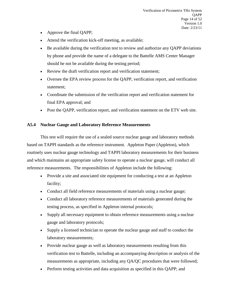- Approve the final QAPP;
- Attend the verification kick-off meeting, as available;
- Be available during the verification test to review and authorize any OAPP deviations by phone and provide the name of a delegate to the Battelle AMS Center Manager should he not be available during the testing period;
- Review the draft verification report and verification statement;
- Oversee the EPA review process for the QAPP, verification report, and verification statement;
- Coordinate the submission of the verification report and verification statement for final EPA approval; and
- Post the QAPP, verification report, and verification statement on the ETV web site.

#### **A5.4 Nuclear Gauge and Laboratory Reference Measurements**

This test will require the use of a sealed source nuclear gauge and laboratory methods based on TAPPI standards as the reference instrument. Appleton Paper (Appleton), which routinely uses nuclear gauge technology and TAPPI laboratory measurements for their business and which maintains an appropriate safety license to operate a nuclear gauge, will conduct all reference measurements. The responsibilities of Appleton include the following:

- Provide a site and associated site equipment for conducting a test at an Appleton facility;
- Conduct all field reference measurements of materials using a nuclear gauge;
- Conduct all laboratory reference measurements of materials generated during the testing process, as specified in Appleton internal protocols;
- Supply all necessary equipment to obtain reference measurements using a nuclear gauge and laboratory protocols;
- Supply a licensed technician to operate the nuclear gauge and staff to conduct the laboratory measurements;
- Provide nuclear gauge as well as laboratory measurements resulting from this verification test to Battelle, including an accompanying description or analysis of the measurements as appropriate, including any QA/QC procedures that were followed;
- Perform testing activities and data acquisition as specified in this QAPP; and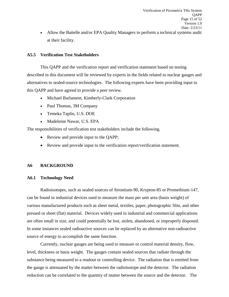• Allow the Battelle and/or EPA Quality Managers to perform a technical systems audit at their facility.

#### **A5.5 Verification Test Stakeholders**

This QAPP and the verification report and verification statement based on testing described in this document will be reviewed by experts in the fields related to nuclear gauges and alternatives to sealed-source technologies. The following experts have been providing input to this QAPP and have agreed to provide a peer review.

- Michael Barlament, Kimberly-Clark Corporation
- Paul Thomas, 3M Company
- Temeka Taplin, U.S. DOE
- Madeleine Nawar, U.S. EPA

The responsibilities of verification test stakeholders include the following.

- Review and provide input to the QAPP;
- Review and provide input to the verification report/verification statement.

#### <span id="page-14-0"></span>**A6 BACKGROUND**

#### **A6.1 Technology Need**

Radioisotopes, such as sealed sources of Strontium-90, Krypton-85 or Promethium-147, can be found in industrial devices used to measure the mass per unit area (basis weight) of various manufactured products such as sheet metal, textiles, paper, photographic film, and other pressed or sheet (flat) material. Devices widely used in industrial and commercial applications are often small in size, and could potentially be lost, stolen, abandoned, or improperly disposed. In some instances sealed radioactive sources can be replaced by an alternative non-radioactive source of energy to accomplish the same function.

Currently, nuclear gauges are being used to measure or control material density, flow, level, thickness or basis weight. The gauges contain sealed sources that radiate through the substance being measured to a readout or controlling device. The radiation that is emitted from the gauge is attenuated by the matter between the radioisotope and the detector. The radiation reduction can be correlated to the quantity of matter between the source and the detector. The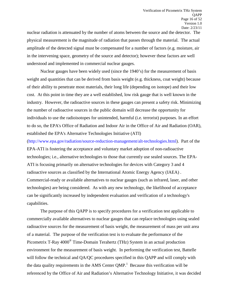nuclear radiation is attenuated by the number of atoms between the source and the detector. The physical measurement is the magnitude of radiation that passes through the material. The actual amplitude of the detected signal must be compensated for a number of factors (e.g. moisture, air in the intervening space, geometry of the source and detector); however these factors are well understood and implemented in commercial nuclear gauges.

Nuclear gauges have been widely used (since the 1940's) for the measurement of basis weight and quantities that can be derived from basis weight (e.g. thickness, coat weight) because of their ability to penetrate most materials, their long life (depending on isotope) and their low cost. At this point in time they are a well established, low risk gauge that is well known in the industry. However, the radioactive sources in these gauges can present a safety risk. Minimizing the number of radioactive sources in the public domain will decrease the opportunity for individuals to use the radioisotopes for unintended, harmful (i.e. terrorist) purposes. In an effort to do so, the EPA's Office of Radiation and Indoor Air in the Office of Air and Radiation (OAR), established the EPA's Alternative Technologies Initiative (ATI)

[\(http://www.epa.gov/radiation/source-reduction-management/alt-technologies.html\)](http://www.epa.gov/radiation/source-reduction-management/alt-technologies.html). Part of the EPA-ATI is fostering the acceptance and voluntary market adoption of non-radioactive technologies; i.e., alternative technologies to those that currently use sealed sources. The EPA-ATI is focusing primarily on alternative technologies for devices with Category 3 and 4 radioactive sources as classified by the International Atomic Energy Agency (IAEA) . Commercial-ready or available alternatives to nuclear gauges (such as infrared, laser, and other technologies) are being considered. As with any new technology, the likelihood of acceptance can be significantly increased by independent evaluation and verification of a technology's capabilities.

The purpose of this QAPP is to specify procedures for a verification test applicable to commercially available alternatives to nuclear gauges that can replace technologies using sealed radioactive sources for the measurement of basis weight, the measurement of mass per unit area of a material. The purpose of the verification test is to evaluate the performance of the Picometrix T-Ray 4000® Time-Domain Terahertz (THz) System in an actual production environment for the measurement of basis weight. In performing the verification test, Battelle will follow the technical and QA/QC procedures specified in this QAPP and will comply with the data quality requirements in the AMS Center  $QMP$ .<sup>1</sup> Because this verification will be referenced by the Office of Air and Radiation's Alternative Technology Initiative, it was decided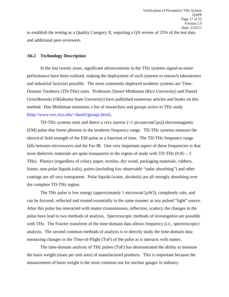to establish the testing as a Quality Category II, requiring a QA review of 25% of the test data and additional peer-reviewers.

#### **A6.2 Technology Description**

In the last twenty years, significant advancements in the THz systems signal-to-noise performance have been realized, making the deployment of such systems to research laboratories and industrial factories possible. The most commonly deployed terahertz systems are Time-Domain Terahertz (TD-THz) units. Professors Daniel Mittleman (Rice University) and Daniel Grischkowski (Oklahoma State University) have published numerous articles and books on this method. Dan Mittleman maintains a list of researchers and groups active in THz study [\(http://www-ece.rice.edu/~daniel/groups.html\)](http://www-ece.rice.edu/~daniel/groups.html).

TD-THz systems emit and detect a very narrow (<1 picosecond [ps]) electromagnetic (EM) pulse that forms photons in the terahertz frequency range. TD-THz systems measure the electrical field strength of the EM pulse as a function of time. The TD-THz frequency range falls between microwaves and the Far-IR. One very important aspect of these frequencies is that most dielectric materials are quite transparent in the region of study with  $TD-THz$  (0.05 – 3) THz). Plastics (regardless of color), paper, textiles, dry wood, packaging materials, rubbers, foams, non-polar liquids (oils), paints (including low observable "radar absorbing") and other coatings are all very transparent. Polar liquids (water, alcohols) are all strongly absorbing over the complete TD-THz region.

The THz pulse is low energy (approximately 1 microwatt  $[\mu W]$ ), completely safe, and can be focused, reflected and treated essentially in the same manner as any pulsed "light" source. After this pulse has interacted with matter (transmission, reflection, scatter), the changes in the pulse have lead to two methods of analysis. Spectroscopic methods of investigation are possible with THz. The Fourier transform of the time-domain data allows frequency (i.e., spectroscopic) analysis. The second common methods of analysis is to directly study the time-domain data measuring changes in the Time-of-Flight (ToF) of the pulse as it interacts with matter.

The time-domain analysis of THz pulses (ToF) has demonstrated the ability to measure the basis weight (mass per unit area) of manufactured products. This is important because the measurement of basis weight is the most common use for nuclear gauges in industry.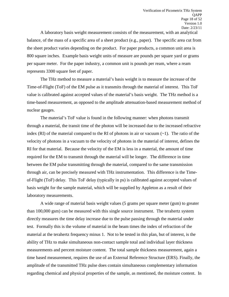A laboratory basis weight measurement consists of the measurement, with an analytical balance, of the mass of a specific area of a sheet product (e.g., paper). The specific area cut from the sheet product varies depending on the product. For paper products, a common unit area is 800 square inches. Example basis weight units of measure are pounds per square yard or grams per square meter. For the paper industry, a common unit is pounds per ream, where a ream represents 3300 square feet of paper.

The THz method to measure a material's basis weight is to measure the increase of the Time-of-Flight (ToF) of the EM pulse as it transmits through the material of interest. This ToF value is calibrated against accepted values of the material's basis weight. The THz method is a time-based measurement, as opposed to the amplitude attenuation-based measurement method of nuclear gauges.

The material's ToF value is found in the following manner: when photons transmit through a material, the transit time of the photon will be increased due to the increased refractive index (RI) of the material compared to the RI of photons in air or vacuum  $(\sim 1)$ . The ratio of the velocity of photons in a vacuum to the velocity of photons in the material of interest, defines the RI for that material. Because the velocity of the EM is less in a material, the amount of time required for the EM to transmit through the material will be longer. The difference in time between the EM pulse transmitting through the material, compared to the same transmission through air, can be precisely measured with THz instrumentation. This difference is the Timeof-Flight (ToF) delay. This ToF delay (typically in ps) is calibrated against accepted values of basis weight for the sample material, which will be supplied by Appleton as a result of their laboratory measurements.

A wide range of material basis weight values (5 grams per square meter (gsm) to greater than 100,000 gsm) can be measured with this single source instrument. The terahertz system directly measures the time delay increase due to the pulse passing through the material under test. Formally this is the volume of material in the beam times the index of refraction of the material at the terahertz frequency minus 1. Not to be tested in this plan, but of interest, is the ability of THz to make simultaneous non-contact sample total and individual layer thickness measurements and percent moisture content. The total sample thickness measurement, again a time based measurement, requires the use of an External Reference Structure (ERS). Finally, the amplitude of the transmitted THz pulse does contain simultaneous complementary information regarding chemical and physical properties of the sample, as mentioned, the moisture content. In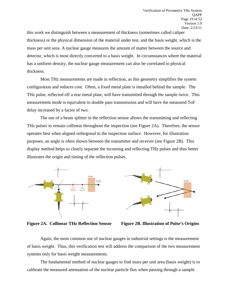this work we distinguish between a measurement of thickness (sometimes called caliper thickness) or the physical dimension of the material under test, and the basis weight, which is the mass per unit area. A nuclear gauge measures the amount of matter between the source and detector, which is most directly converted to a basis weight. In circumstances where the material has a uniform density, the nuclear gauge measurement can also be correlated to physical thickness.

Most THz measurements are made in reflection, as this geometry simplifies the system configuration and reduces cost. Often, a fixed metal plate is installed behind the sample. The THz pulse, reflected off a rear metal plate, will have transmitted through the sample twice. This measurement mode is equivalent to double pass transmission and will have the measured ToF delay increased by a factor of two.

The use of a beam splitter in the reflection sensor allows the transmitting and reflecting THz pulses to remain collinear throughout the inspection (see Figure 2A). Therefore, the sensor operates best when aligned orthogonal to the inspection surface. However, for illustration purposes, an angle is often shown between the transmitter and receiver (see Figure 2B). This display method helps to clearly separate the incoming and reflecting THz pulses and thus better illustrates the origin and timing of the reflection pulses.



<span id="page-18-0"></span>**Figure 2A. Collinear THz Reflection Sensor Figure 2B. Illustration of Pulse's Origins**

Again, the most common use of nuclear gauges in industrial settings is the measurement of basis weight. Thus, this verification test will address the comparison of the two measurement systems only for basis weight measurements.

The fundamental method of nuclear gauges to find mass per unit area (basis weight) is to calibrate the measured attenuation of the nuclear particle flux when passing through a sample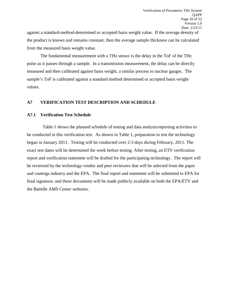against a standard-method-determined or accepted basis weight value. If the average density of the product is known and remains constant, then the average sample thickness can be calculated from the measured basis weight value.

The fundamental measurement with a THz sensor is the delay in the ToF of the THz pulse as it passes through a sample. In a transmission measurement, the delay can be directly measured and then calibrated against basis weight, a similar process to nuclear gauges. The sample's ToF is calibrated against a standard method determined or accepted basis weight values.

#### <span id="page-19-0"></span>**A7 VERIFICATION TEST DESCRIPTION AND SCHEDULE**

#### **A7.1 Verification Test Schedule**

 Table 1 shows the planned schedule of testing and data analysis/reporting activities to be conducted in this verification test. As shown in Table 1, preparation to test the technology began in January 2011. Testing will be conducted over 2-3 days during February, 2011. The exact test dates will be determined the week before testing. After testing, an ETV verification report and verification statement will be drafted for the participating technology. The report will be reviewed by the technology vendor and peer reviewers that will be selected from the paper and coatings industry and the EPA. The final report and statement will be submitted to EPA for final signature, and these documents will be made publicly available on both the EPA/ETV and the Battelle AMS Center websites.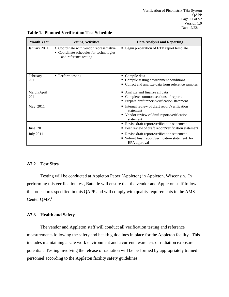Verification of Picometrix THz System QAPP Page 21 of 52 Version 1.0 Date: 2/23/11

| <b>Month Year</b>   | <b>Testing Activities</b>                                                                                      | <b>Data Analysis and Reporting</b>                                                                                       |
|---------------------|----------------------------------------------------------------------------------------------------------------|--------------------------------------------------------------------------------------------------------------------------|
| January 2011        | • Coordinate with vendor representative<br>Coordinate schedules for technologies<br>٠<br>and reference testing | • Begin preparation of ETV report template                                                                               |
| February<br>2011    | • Perform testing                                                                                              | Compile data<br>Compile testing environment conditions<br>Collect and analyze data from reference samples                |
| March/April<br>2011 |                                                                                                                | Analyze and finalize all data<br>Complete common sections of reports<br>Prepare draft report/verification statement      |
| May 2011            |                                                                                                                | • Internal review of draft report/verification<br>statement<br>• Vendor review of draft report/verification<br>statement |
| June 2011           |                                                                                                                | Revise draft report/verification statement<br>Peer review of draft report/verification statement                         |
| <b>July 2011</b>    |                                                                                                                | Revise draft report/verification statement<br>Submit final report/verification statement for<br>EPA approval             |

<span id="page-20-0"></span>**Table 1. Planned Verification Test Schedule**

#### **A7.2 Test Sites**

Testing will be conducted at Appleton Paper (Appleton) in Appleton, Wisconsin. In performing this verification test, Battelle will ensure that the vendor and Appleton staff follow the procedures specified in this QAPP and will comply with quality requirements in the AMS Center QMP.<sup>1</sup>

#### **A7.3 Health and Safety**

The vendor and Appleton staff will conduct all verification testing and reference measurements following the safety and health guidelines in place for the Appleton facility. This includes maintaining a safe work environment and a current awareness of radiation exposure potential. Testing involving the release of radiation will be performed by appropriately trained personnel according to the Appleton facility safety guidelines.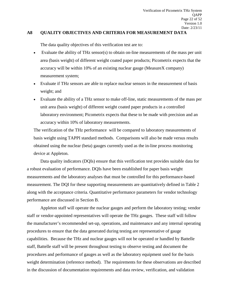### <span id="page-21-0"></span>**A8 QUALITY OBJECTIVES AND CRITERIA FOR MEASUREMENT DATA**

The data quality objectives of this verification test are to:

- Evaluate the ability of THz sensor(s) to obtain on-line measurements of the mass per unit area (basis weight) of different weight coated paper products; Picometrix expects that the accuracy will be within 10% of an existing nuclear gauge (MeasureX company) measurement system;
- Evaluate if THz sensors are able to replace nuclear sensors in the measurement of basis weight; and
- Evaluate the ability of a THz sensor to make off-line, static measurements of the mass per unit area (basis weight) of different weight coated paper products in a controlled laboratory environment; Picometrix expects that these to be made with precision and an accuracy within 10% of laboratory measurements.

The verification of the THz performance will be compared to laboratory measurements of basis weight using TAPPI standard methods. Comparisons will also be made versus results obtained using the nuclear (beta) gauges currently used as the in-line process monitoring device at Appleton.

Data quality indicators (DQIs) ensure that this verification test provides suitable data for a robust evaluation of performance. DQIs have been established for paper basis weight measurements and the laboratory analyses that must be controlled for this performance-based measurement. The DQI for these supporting measurements are quantitatively defined in Table 2 along with the acceptance criteria. Quantitative performance parameters for vendor technology performance are discussed in Section B.

Appleton staff will operate the nuclear gauges and perform the laboratory testing; vendor staff or vendor-appointed representatives will operate the THz gauges. These staff will follow the manufacturer's recommended set-up, operations, and maintenance and any internal operating procedures to ensure that the data generated during testing are representative of gauge capabilities. Because the THz and nuclear gauges will not be operated or handled by Battelle staff, Battelle staff will be present throughout testing to observe testing and document the procedures and performance of gauges as well as the laboratory equipment used for the basis weight determination (reference method). The requirements for these observations are described in the discussion of documentation requirements and data review, verification, and validation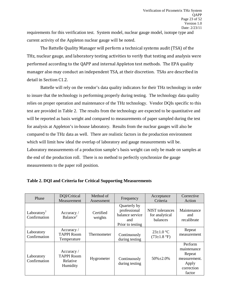requirements for this verification test. System model, nuclear gauge model, isotope type and current activity of the Appleton nuclear gauge will be noted.

The Battelle Quality Manager will perform a technical systems audit (TSA) of the THz, nuclear gauge, and laboratory testing activities to verify that testing and analysis were performed according to the QAPP and internal Appleton test methods. The EPA quality manager also may conduct an independent TSA, at their discretion. TSAs are described in detail in Section C1.2.

Battelle will rely on the vendor's data quality indicators for their THz technology in order to insure that the technology is performing properly during testing. The technology data quality relies on proper operation and maintenance of the THz technology. Vendor DQIs specific to this test are provided in Table 2. The results from the technology are expected to be quantitative and will be reported as basis weight and compared to measurements of paper sampled during the test for analysis at Appleton's in-house laboratory. Results from the nuclear gauges will also be compared to the THz data as well. There are realistic factors in the production environment which will limit how ideal the overlap of laboratory and gauge measurements will be. Laboratory measurements of a production sample's basis weight can only be made on samples at the end of the production roll. There is no method to perfectly synchronize the gauge measurements to the paper roll position.

| Phase                                                                         | DQI/Critical<br>Method of<br>Measurement<br>Assessment  |                      | Frequency                                                                  | Acceptance<br>Criteria                        | Corrective<br>Action                                                              |
|-------------------------------------------------------------------------------|---------------------------------------------------------|----------------------|----------------------------------------------------------------------------|-----------------------------------------------|-----------------------------------------------------------------------------------|
| Laboratory <sup>1</sup><br>Accuracy /<br>Balance <sup>2</sup><br>Confirmation |                                                         | Certified<br>weights | Quarterly by<br>professional<br>balance service<br>and<br>Prior to testing | NIST tolerances<br>for analytical<br>balances | Maintenance<br>and<br>recalibrate                                                 |
| Laboratory<br>Confirmation                                                    | Accuracy /<br><b>TAPPI Room</b><br>Temperature          | Thermometer          | Continuously<br>during testing                                             | $23 \pm 1.0$ °C<br>$(73 \pm 1.8)$ °F)         | Repeat<br>measurement                                                             |
| Laboratory<br>Confirmation                                                    | Accuracy /<br><b>TAPPI Room</b><br>Relative<br>Humidity | Hygrometer           | Continuously<br>during testing                                             | $50\% \pm 2.0\%$                              | Perform<br>maintenance<br>Repeat<br>measurement.<br>Apply<br>correction<br>factor |

#### <span id="page-22-0"></span>**Table 2. DQI and Criteria for Critical Supporting Measurements**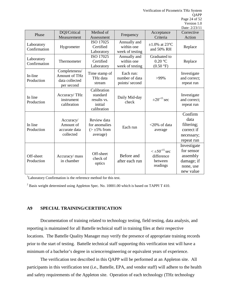Verification of Picometrix THz System QAPP Page 24 of 52 Version 1.0

|                                                                                                |                                                      |                                                                                       |                                                       |                                                              | Date: 2/23/11                                                                 |
|------------------------------------------------------------------------------------------------|------------------------------------------------------|---------------------------------------------------------------------------------------|-------------------------------------------------------|--------------------------------------------------------------|-------------------------------------------------------------------------------|
| DQI/Critical<br>Phase<br>Measurement                                                           |                                                      | Method of<br>Assessment                                                               | Frequency                                             | Acceptance<br>Criteria                                       | Corrective<br>Action                                                          |
| Laboratory<br>Confirmation                                                                     | Hygrometer                                           | ISO 17025<br>Annually and<br>Certified<br>within one<br>week of testing<br>Laboratory |                                                       | $\pm 1.0\%$ at 23°C<br>and 50% RH                            | Replace                                                                       |
| Laboratory<br>Thermometer<br>Confirmation                                                      |                                                      | ISO 17025<br>Certified<br>Laboratory                                                  | Annually and<br>within one<br>week of testing         | Graduated to<br>$0.20\text{ °C}$<br>$(0.50 \text{ °F})$      | Replace                                                                       |
| Completeness/<br>In-line<br><b>Amount of THz</b><br>Production<br>data collected<br>per second |                                                      | Time stamp of<br>THz data<br>stream                                                   | Each run:<br>number of data<br>>99%<br>points/ second |                                                              | Investigate<br>and correct;<br>repeat run                                     |
| In line<br>Production                                                                          | Accuracy/THz<br>instrument<br>calibration            | Calibration<br>standard<br>results vs.<br>initial<br>calibration                      | Daily Mid-day<br>check                                | $\pm 20^{-15}$ sec                                           | Investigate<br>and correct;<br>repeat run                                     |
| In line<br>Production                                                                          | Accuracy/<br>Amount of<br>accurate data<br>collected | Review data<br>for anomalies<br>$(>\pm 5\%$ from<br>average)                          | Each run                                              | $<$ 20% of data<br>average                                   | Confirm<br>data<br>filtering;<br>correct if<br>necessary;<br>repeat run       |
| Off-sheet<br>Production                                                                        | Accuracy/ mass<br>in chamber                         | Off-sheet<br>check of<br>optics                                                       | Before and<br>after each run                          | $\leq \pm 50^{-15}$ sec<br>difference<br>between<br>readings | Investigate<br>for sensor<br>assembly<br>damage; if<br>none, use<br>new value |

<sup>1</sup>Laboratory Confirmation is the reference method for this test.

<sup>2</sup> Basis weight determined using Appleton Spec. No. 10001.00 which is based on TAPPI T 410.

#### <span id="page-23-0"></span>**A9 SPECIAL TRAINING/CERTIFICATION**

Documentation of training related to technology testing, field testing, data analysis, and reporting is maintained for all Battelle technical staff in training files at their respective locations. The Battelle Quality Manager may verify the presence of appropriate training records prior to the start of testing. Battelle technical staff supporting this verification test will have a minimum of a bachelor's degree in science/engineering or equivalent years of experience.

The verification test described in this QAPP will be performed at an Appleton site. All participants in this verification test (i.e., Battelle, EPA, and vendor staff) will adhere to the health and safety requirements of the Appleton site. Operation of each technology (THz technology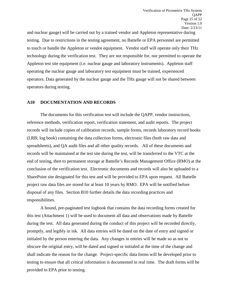and nuclear gauge) will be carried out by a trained vendor and Appleton representative during testing. Due to restrictions in the testing agreement, no Battelle or EPA personnel are permitted to touch or handle the Appleton or vendor equipment. Vendor staff will operate only their THz technology during the verification test. They are not responsible for, nor permitted to operate the Appleton test site equipment (i.e. nuclear gauge and laboratory instruments). Appleton staff operating the nuclear gauge and laboratory test equipment must be trained, experienced operators. Data generated by the nuclear gauge and the THz gauge will not be shared between operators during testing.

#### <span id="page-24-0"></span>**A10 DOCUMENTATION AND RECORDS**

The documents for this verification test will include the QAPP, vendor instructions, reference methods, verification report, verification statement, and audit reports. The project records will include copies of calibration records, sample forms, records laboratory record books (LRB; log book) containing the data collection forms, electronic files (both raw data and spreadsheets), and QA audit files and all other quality records. All of these documents and records will be maintained at the test site during the test, will be transferred to the VTC at the end of testing, then to permanent storage at Battelle's Records Management Office (RMO) at the conclusion of the verification test. Electronic documents and records will also be uploaded to a SharePoint site designated for this test and will be provided to EPA upon request. All Battelle project raw data files are stored for at least 10 years by RMO. EPA will be notified before disposal of any files. Section B10 further details the data recording practices and responsibilities.

A bound, pre-paginated test logbook that contains the data recording forms created for this test (Attachment 1) will be used to document all data and observations made by Battelle during the test. All data generated during the conduct of this project will be recorded directly, promptly, and legibly in ink. All data entries will be dated on the date of entry and signed or initialed by the person entering the data. Any changes in entries will be made so as not to obscure the original entry, will be dated and signed or initialed at the time of the change and shall indicate the reason for the change. Project-specific data forms will be developed prior to testing to ensure that all critical information is documented in real time. The draft forms will be provided to EPA prior to testing.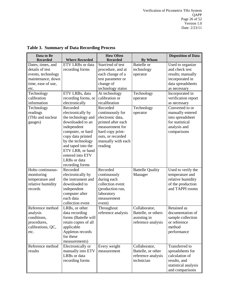| Data to Be         |                         |                                     | <b>Disposition of Data</b> |                      |  |  |
|--------------------|-------------------------|-------------------------------------|----------------------------|----------------------|--|--|
| <b>Recorded</b>    | <b>Where Recorded</b>   | <b>How Often</b><br><b>Recorded</b> | <b>By Whom</b>             |                      |  |  |
| Dates, times, and  | <b>ETV LRBs</b> or data | Start/end of test                   | <b>Battelle</b> or         | Used to organize     |  |  |
| details of test    | recording forms         | procedure, and at                   | technology                 | and check test       |  |  |
| events, technology |                         | each change of a                    | operator                   | results; manually    |  |  |
| maintenance, down  |                         | test parameter or                   |                            | incorporated in      |  |  |
| time, ease of use, |                         | change of                           |                            | data spreadsheets    |  |  |
| etc.               |                         | technology status                   |                            | as necessary         |  |  |
| Technology         | ETV LRBs, data          | At technology                       | Technology                 | Incorporated in      |  |  |
| calibration        | recording forms, or     | calibration or                      |                            | verification report  |  |  |
| information        | electronically          | recalibration                       | operator                   |                      |  |  |
|                    |                         |                                     |                            | as necessary         |  |  |
| Technology         | Recorded                | Recorded                            | Technology                 | Converted to or      |  |  |
| readings           | electronically by       | continuously for                    | operator                   | manually entered     |  |  |
| (THz and nuclear   | the technology and      | electronic data,                    |                            | into spreadsheet     |  |  |
| gauges)            | downloaded to an        | printed after each                  |                            | for statistical      |  |  |
|                    | independent             | measurement for                     |                            | analysis and         |  |  |
|                    | computer, or hard       | hard copy print-                    |                            | comparisons          |  |  |
|                    | copy data printed       | outs, or recorded                   |                            |                      |  |  |
|                    | by the technology       | manually with each                  |                            |                      |  |  |
|                    | and taped into the      | reading                             |                            |                      |  |  |
|                    | ETV LRB, or hand        |                                     |                            |                      |  |  |
|                    | entered into ETV        |                                     |                            |                      |  |  |
|                    | LRBs or data            |                                     |                            |                      |  |  |
|                    | recording forms         |                                     |                            |                      |  |  |
| Hobo continuous-   | Recorded                | Recorded                            | <b>Battelle Quality</b>    | Used to verify the   |  |  |
| monitoring         | electronically by       | continuously                        | Manager                    | temperature and      |  |  |
| temperature and    | the instrument and      | during each                         |                            | relative humidity    |  |  |
| relative humidity  | downloaded to           | collection event                    |                            | of the production    |  |  |
| records            | independent             | (production run,                    |                            | and TAPPI rooms      |  |  |
|                    | computer after          | laboratory                          |                            |                      |  |  |
|                    | each data               | measurement                         |                            |                      |  |  |
|                    | collection event        | event)                              |                            |                      |  |  |
| Reference method   | LRBs, or other          | Throughout                          | Collaborator,              | Retained as          |  |  |
| analysis           | data recording          | reference analysis                  | Battelle, or others        | documentation of     |  |  |
| conditions,        | forms (Battelle will    |                                     | assisting in               | sample collection    |  |  |
| procedures,        | retain copies of all    |                                     | reference analysis         | or reference         |  |  |
| calibrations, QC,  | applicable              |                                     |                            | method               |  |  |
| etc.               | Appleton records        |                                     |                            | performance          |  |  |
|                    | for these               |                                     |                            |                      |  |  |
|                    | measurements)           |                                     |                            |                      |  |  |
| Reference method   | Electronically or       | Every weight                        | Collaborator,              | Transferred to       |  |  |
| results            | manually into ETV       | measurement                         | Battelle, or other         | spreadsheets for     |  |  |
|                    | LRBs or data            |                                     | reference analysis         | calculation of       |  |  |
|                    | recording forms         |                                     | technician                 | results, and         |  |  |
|                    |                         |                                     |                            |                      |  |  |
|                    |                         |                                     |                            | statistical analysis |  |  |

# <span id="page-25-0"></span>**Table 3. Summary of Data Recording Process**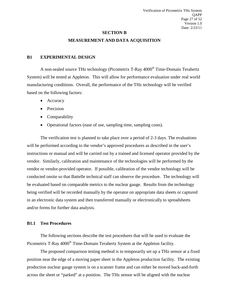#### **SECTION B**

#### **MEASUREMENT AND DATA ACQUISITION**

#### <span id="page-26-1"></span><span id="page-26-0"></span>**B1 EXPERIMENTAL DESIGN**

A non-sealed source THz technology (Picometrix T-Ray 4000® Time-Domain Terahertz System) will be tested at Appleton. This will allow for performance evaluation under real world manufacturing conditions. Overall, the performance of the THz technology will be verified based on the following factors:

- Accuracy
- Precision
- Comparability
- Operational factors (ease of use, sampling time, sampling costs).

The verification test is planned to take place over a period of 2-3 days. The evaluations will be performed according to the vendor's approved procedures as described in the user's instructions or manual and will be carried out by a trained and licensed operator provided by the vendor. Similarly, calibration and maintenance of the technologies will be performed by the vendor or vendor-provided operator. If possible, calibration of the vendor technology will be conducted onsite so that Battelle technical staff can observe the procedure. The technology will be evaluated based on comparable metrics to the nuclear gauge. Results from the technology being verified will be recorded manually by the operator on appropriate data sheets or captured in an electronic data system and then transferred manually or electronically to spreadsheets and/or forms for further data analysis.

#### **B1.1 Test Procedures**

The following sections describe the test procedures that will be used to evaluate the Picometrix T-Ray 4000<sup>®</sup> Time-Domain Terahertz System at the Appleton facility.

The proposed comparison testing method is to temporarily set up a THz sensor at a fixed position near the edge of a moving paper sheet in the Appleton production facility. The existing production nuclear gauge system is on a scanner frame and can either be moved back-and-forth across the sheet or "parked" at a position. The THz sensor will be aligned with the nuclear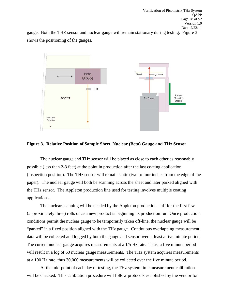Verification of Picometrix THz System QAPP Page 28 of 52 Version 1.0 Date: 2/23/11

gauge. Both the THZ sensor and nuclear gauge will remain stationary during testing. Figure 3 shows the positioning of the gauges.



#### <span id="page-27-0"></span>**Figure 3. Relative Position of Sample Sheet, Nuclear (Beta) Gauge and THz Sensor**

The nuclear gauge and THz sensor will be placed as close to each other as reasonably possible (less than 2-3 feet) at the point in production after the last coating application (inspection position). The THz sensor will remain static (two to four inches from the edge of the paper). The nuclear gauge will both be scanning across the sheet and later parked aligned with the THz sensor. The Appleton production line used for testing involves multiple coating applications.

The nuclear scanning will be needed by the Appleton production staff for the first few (approximately three) rolls once a new product is beginning its production run. Once production conditions permit the nuclear gauge to be temporarily taken off-line, the nuclear gauge will be "parked" in a fixed position aligned with the THz gauge. Continuous overlapping measurement data will be collected and logged by both the gauge and sensor over at least a five minute period. The current nuclear gauge acquires measurements at a 1/5 Hz rate. Thus, a five minute period will result in a log of 60 nuclear gauge measurements. The THz system acquires measurements at a 100 Hz rate, thus 30,000 measurements will be collected over the five minute period.

At the mid-point of each day of testing, the THz system time measurement calibration will be checked. This calibration procedure will follow protocols established by the vendor for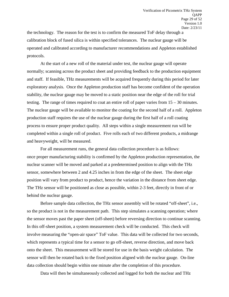the technology. The reason for the test is to confirm the measured ToF delay through a calibration block of fused silica is within specified tolerances. The nuclear gauge will be operated and calibrated according to manufacturer recommendations and Appleton established protocols.

At the start of a new roll of the material under test, the nuclear gauge will operate normally; scanning across the product sheet and providing feedback to the production equipment and staff. If feasible, THz measurements will be acquired frequently during this period for later exploratory analysis. Once the Appleton production staff has become confident of the operation stability, the nuclear gauge may be moved to a static position near the edge of the roll for trial testing. The range of times required to coat an entire roll of paper varies from 15 – 30 minutes. The nuclear gauge will be available to monitor the coating for the second half of a roll. Appleton production staff requires the use of the nuclear gauge during the first half of a roll coating process to ensure proper product quality. All steps within a single measurement run will be completed within a single roll of product. Five rolls each of two different products, a midrange and heavyweight, will be measured.

For all measurement runs, the general data collection procedure is as follows: once proper manufacturing stability is confirmed by the Appleton production representation, the nuclear scanner will be moved and parked at a predetermined position to align with the THz sensor, somewhere between 2 and 4.25 inches in from the edge of the sheet. The sheet edge position will vary from product to product, hence the variation in the distance from sheet edge. The THz sensor will be positioned as close as possible, within 2-3 feet, directly in front of or behind the nuclear gauge.

Before sample data collection, the THz sensor assembly will be rotated "off-sheet", i.e., so the product is not in the measurement path. This step simulates a scanning operation; where the sensor moves past the paper sheet (off-sheet) before reversing direction to continue scanning. In this off-sheet position, a system measurement check will be conducted. This check will involve measuring the "open-air space" ToF value. This data will be collected for two seconds, which represents a typical time for a sensor to go off-sheet, reverse direction, and move back onto the sheet. This measurement will be stored for use in the basis weight calculation. The sensor will then be rotated back to the fixed position aligned with the nuclear gauge. On-line data collection should begin within one minute after the completion of this procedure.

Data will then be simultaneously collected and logged for both the nuclear and THz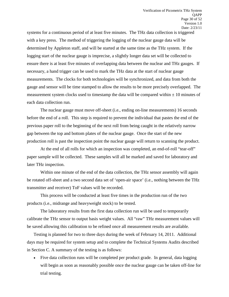systems for a continuous period of at least five minutes. The THz data collection is triggered with a key press. The method of triggering the logging of the nuclear gauge data will be determined by Appleton staff, and will be started at the same time as the THz system. If the logging start of the nuclear gauge is imprecise, a slightly longer data set will be collected to ensure there is at least five minutes of overlapping data between the nuclear and THz gauges. If necessary, a hand trigger can be used to mark the THz data at the start of nuclear gauge measurements. The clocks for both technologies will be synchronized, and data from both the gauge and sensor will be time stamped to allow the results to be more precisely overlapped. The measurement system clocks used to timestamp the data will be compared within  $\pm 10$  minutes of each data collection run.

The nuclear gauge must move off-sheet (i.e., ending on-line measurements) 16 seconds before the end of a roll. This step is required to prevent the individual that pastes the end of the previous paper roll to the beginning of the next roll from being caught in the relatively narrow gap between the top and bottom plates of the nuclear gauge. Once the start of the new production roll is past the inspection point the nuclear gauge will return to scanning the product.

At the end of all rolls for which an inspection was completed, an end-of-roll "tear-off" paper sample will be collected. These samples will all be marked and saved for laboratory and later THz inspection.

Within one minute of the end of the data collection, the THz sensor assembly will again be rotated off-sheet and a two second data set of 'open-air space' (i.e., nothing between the THz transmitter and receiver) ToF values will be recorded.

This process will be conducted at least five times in the production run of the two products (i.e., midrange and heavyweight stock) to be tested.

The laboratory results from the first data collection run will be used to temporarily calibrate the THz sensor to output basis weight values. All "raw" THz measurement values will be saved allowing this calibration to be refined once all measurement results are available.

Testing is planned for two to three days during the week of February 14, 2011. Additional days may be required for system setup and to complete the Technical Systems Audits described in Section C. A summary of the testing is as follows:

• Five data collection runs will be completed per product grade. In general, data logging will begin as soon as reasonably possible once the nuclear gauge can be taken off-line for trial testing.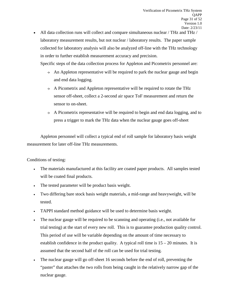• All data collection runs will collect and compare simultaneous nuclear / THz and THz / laboratory measurement results, but not nuclear / laboratory results. The paper sample collected for laboratory analysis will also be analyzed off-line with the THz technology in order to further establish measurement accuracy and precision.

Specific steps of the data collection process for Appleton and Picometrix personnel are:

- $\rightarrow$  An Appleton representative will be required to park the nuclear gauge and begin and end data logging.
- $\rightarrow$  A Picometrix and Appleton representative will be required to rotate the THz sensor off-sheet, collect a 2-second air space ToF measurement and return the sensor to on-sheet.
- $\rightarrow$  A Picometrix representative will be required to begin and end data logging, and to press a trigger to mark the THz data when the nuclear gauge goes off-sheet

Appleton personnel will collect a typical end of roll sample for laboratory basis weight measurement for later off-line THz measurements.

Conditions of testing:

- The materials manufactured at this facility are coated paper products. All samples tested will be coated final products.
- The tested parameter will be product basis weight.
- Two differing bare stock basis weight materials, a mid-range and heavyweight, will be tested.
- TAPPI standard method guidance will be used to determine basis weight.
- The nuclear gauge will be required to be scanning and operating (i.e., not available for trial testing) at the start of every new roll. This is to guarantee production quality control. This period of use will be variable depending on the amount of time necessary to establish confidence in the product quality. A typical roll time is  $15 - 20$  minutes. It is assumed that the second half of the roll can be used for trial testing.
- The nuclear gauge will go off-sheet 16 seconds before the end of roll, preventing the "paster" that attaches the two rolls from being caught in the relatively narrow gap of the nuclear gauge.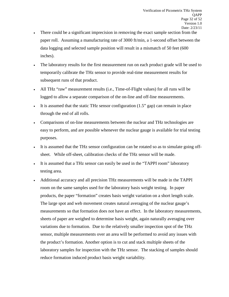- There could be a significant imprecision in removing the exact sample section from the paper roll. Assuming a manufacturing rate of 3000 ft/min, a 1-second offset between the data logging and selected sample position will result in a mismatch of 50 feet (600 inches).
- The laboratory results for the first measurement run on each product grade will be used to temporarily calibrate the THz sensor to provide real-time measurement results for subsequent runs of that product.
- All THz "raw" measurement results (i.e., Time-of-Flight values) for all runs will be logged to allow a separate comparison of the on-line and off-line measurements.
- It is assumed that the static THz sensor configuration  $(1.5"$  gap) can remain in place through the end of all rolls.
- Comparisons of on-line measurements between the nuclear and THz technologies are easy to perform, and are possible whenever the nuclear gauge is available for trial testing purposes.
- It is assumed that the THz sensor configuration can be rotated so as to simulate going offsheet. While off-sheet, calibration checks of the THz sensor will be made.
- It is assumed that a THz sensor can easily be used in the "TAPPI room" laboratory testing area.
- Additional accuracy and all precision THz measurements will be made in the TAPPI room on the same samples used for the laboratory basis weight testing. In paper products, the paper "formation" creates basis weight variation on a short length scale. The large spot and web movement creates natural averaging of the nuclear gauge's measurements so that formation does not have an effect. In the laboratory measurements, sheets of paper are weighed to determine basis weight, again naturally averaging over variations due to formation. Due to the relatively smaller inspection spot of the THz sensor, multiple measurements over an area will be performed to avoid any issues with the product's formation. Another option is to cut and stack multiple sheets of the laboratory samples for inspection with the THz sensor. The stacking of samples should reduce formation induced product basis weight variability.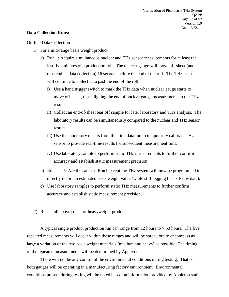#### **Data Collection Runs:**

On-line Data Collection

- 1) For a mid-range basis weight product:
	- a) Run 1: Acquire simultaneous nuclear and THz sensor measurements for at least the last five minutes of a production roll. The nuclear gauge will move off-sheet (and thus end its data collection) 16 seconds before the end of the roll. The THz sensor will continue to collect data past the end of the roll.
		- i) Use a hand trigger switch to mark the THz data when nuclear gauge starts to move off-sheet, thus aligning the end of nuclear gauge measurements to the THz results.
		- ii) Collect an end-of-sheet tear off sample for later laboratory and THz analysis. The laboratory results can be simultaneously compared to the nuclear and THz sensor results.
		- iii) Use the laboratory results from this first data run to temporarily calibrate THz sensor to provide real-time results for subsequent measurement runs.
		- iv) Use laboratory sample to perform static THz measurements to further confirm accuracy and establish static measurement precision.
	- b) Runs 2 5: Are the same as Run1 except the THz system will now be programmed to directly report an estimated basis weight value (while still logging the ToF raw data).
	- c) Use laboratory samples to perform static THz measurements to further confirm accuracy and establish static measurement precision . .
- 2) Repeat all above steps for heavyweight product.

A typical single product production run can range from 12 hours to  $> 50$  hours. The five repeated measurements will occur within these ranges and will be spread out to encompass as large a variation of the two basis weight materials (medium and heavy) as possible. The timing of the repeated measurements will be determined by Appleton.

There will not be any control of the environmental conditions during testing. That is, both gauges will be operating in a manufacturing factory environment. Environmental conditions present during testing will be noted based on information provided by Appleton staff.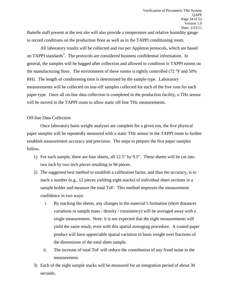Battelle staff present at the test site will also provide a temperature and relative humidity gauge to record conditions on the production floor as well as in the TAPPI conditioning room.

All laboratory results will be collected and run per Appleton protocols, which are based on TAPPI standards<sup>3</sup>. The protocols are considered business confidential information. In general, the samples will be bagged after collection and allowed to condition in TAPPI rooms on the manufacturing floor. The environment of these rooms is tightly controlled (72 °F and 50% RH). The length of conditioning time is determined by the sample type. Laboratory measurements will be collected on tear-off samples collected for each of the five runs for each paper type. Once all on-line data collection is completed in the production facility, a THz sensor will be moved to the TAPPI room to allow static off-line THz measurements.

#### Off-line Data Collection

Once laboratory basis weight analyses are complete for a given run, the five physical paper samples will be repeatedly measured with a static THz sensor in the TAPPI room to further establish measurement accuracy and precision. The steps to prepare the five paper samples follow.

- 1) For each sample, there are four sheets, all 12.5" by 9.5". These sheets will be cut into two inch by two inch pieces resulting in 96 pieces.
- 2) The suggested best method to establish a calibration factor, and thus the accuracy, is to stack a number (e.g., 12 pieces yielding eight stacks) of individual sheet sections in a sample holder and measure the total ToF. This method improves the measurement confidence in two ways:
	- i. By stacking the sheets, any changes in the material's formation (short distances variations in sample mass / density / consistency) will be averaged away with a single measurement. Note: it is not expected that the eight measurements will yield the same result, even with this spatial averaging procedure. A coated paper product will have appreciable spatial variation in basis weight over fractions of the dimensions of the total sheet sample.
	- ii. The increase of total ToF will reduce the contribution of any fixed noise in the measurement.
- 3) Each of the eight sample stacks will be measured for an integration period of about 30 seconds.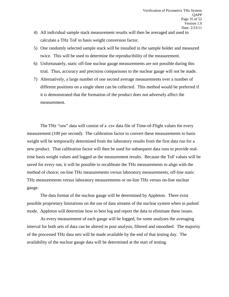- 4) All individual sample stack measurement results will then be averaged and used to calculate a THz ToF to basis weight conversion factor.
- 5) One randomly selected sample stack will be installed in the sample holder and measured twice. This will be used to determine the reproducibility of the measurement.
- 6) Unfortunately, static off-line nuclear gauge measurements are not possible during this trial. Thus, accuracy and precision comparisons to the nuclear gauge will not be made.
- 7) Alternatively, a large number of one second average measurements over a number of different positions on a single sheet can be collected. This method would be preferred if it is demonstrated that the formation of the product does not adversely affect the measurement.

The THz "raw" data will consist of a .csv data file of Time-of-Flight values for every measurement (100 per second). The calibration factor to convert these measurements to basis weight will be temporarily determined from the laboratory results from the first data run for a new product. That calibration factor will then be used for subsequent data runs to provide realtime basis weight values and logged as the measurement results. Because the ToF values will be saved for every run, it will be possible to recalibrate the THz measurements to align with the method of choice; on-line THz measurements versus laboratory measurements, off-line static THz measurements versus laboratory measurements or on-line THz versus on-line nuclear gauge.

The data format of the nuclear gauge will be determined by Appleton. There exist possible proprietary limitations on the use of data streams of the nuclear system when in parked mode. Appleton will determine how to best log and report the data to eliminate these issues.

As every measurement of each gauge will be logged, for some analyses the averaging interval for both sets of data can be altered in post analysis, filtered and smoothed. The majority of the processed THz data sets will be made available by the end of that testing day. The availability of the nuclear gauge data will be determined at the start of testing.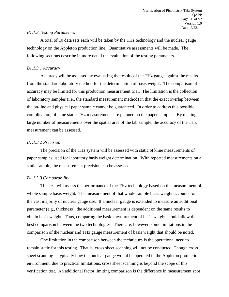#### *B1.1.3 Testing Parameters*

A total of 10 data sets each will be taken by the THz technology and the nuclear gauge technology on the Appleton production line. Quantitative assessments will be made. The following sections describe in more detail the evaluation of the testing parameters.

#### *B1.1.3.1 Accuracy*

Accuracy will be assessed by evaluating the results of the THz gauge against the results from the standard laboratory method for the determination of basis weight. The comparison of accuracy may be limited for this production measurement trial. The limitation is the collection of laboratory samples (i.e., the standard measurement method) in that the exact overlap between the on-line and physical paper sample cannot be guaranteed. In order to address this possible complication, off-line static THz measurements are planned on the paper samples. By making a large number of measurements over the spatial area of the lab sample, the accuracy of the THz measurement can be assessed.

#### *B1.1.3.2 Precision*

The precision of the THz system will be assessed with static off-line measurements of paper samples used for laboratory basis weight determination. With repeated measurements on a static sample, the measurement precision can be assessed.

#### *B1.1.3.3 Comparability*

This test will assess the performance of the THz technology based on the measurement of whole sample basis weight. The measurement of that whole sample basis weight accounts for the vast majority of nuclear gauge use. If a nuclear gauge is extended to measure an additional parameter (e.g., thickness), the additional measurement is dependent on the same results to obtain basis weight. Thus, comparing the basic measurement of basis weight should allow the best comparison between the two technologies. There are, however, some limitations in the comparison of the nuclear and THz gauge measurement of basis weight that should be noted.

One limitation in the comparison between the techniques is the operational need to remain static for this testing. That is, cross sheet scanning will not be conducted. Though cross sheet scanning is typically how the nuclear gauge would be operated in the Appleton production environment, due to practical limitations, cross sheet scanning is beyond the scope of this verification test. An additional factor limiting comparison is the difference in measurement spot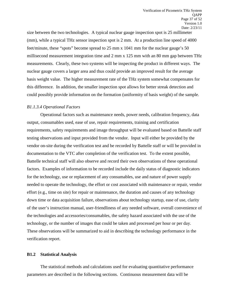size between the two technologies. A typical nuclear gauge inspection spot is 25 millimeter (mm), while a typical THz sensor inspection spot is 2 mm. At a production line speed of 4000 feet/minute, these "spots" become spread to 25 mm x 1041 mm for the nuclear gauge's 50 millisecond measurement integration time and 2 mm x 125 mm with an 80 mm gap between THz measurements. Clearly, these two systems will be inspecting the product in different ways. The nuclear gauge covers a larger area and thus could provide an improved result for the average basis weight value. The higher measurement rate of the THz system somewhat compensates for this difference. In addition, the smaller inspection spot allows for better streak detection and could possibly provide information on the formation (uniformity of basis weight) of the sample.

#### *B1.1.3.4 Operational Factors*

Operational factors such as maintenance needs, power needs, calibration frequency, data output, consumables used, ease of use, repair requirements, training and certification requirements, safety requirements and image throughput will be evaluated based on Battelle staff testing observations and input provided from the vendor. Input will either be provided by the vendor on-site during the verification test and be recorded by Battelle staff or will be provided in documentation to the VTC after completion of the verification test. To the extent possible, Battelle technical staff will also observe and record their own observations of these operational factors. Examples of information to be recorded include the daily status of diagnostic indicators for the technology, use or replacement of any consumables, use and nature of power supply needed to operate the technology, the effort or cost associated with maintenance or repair, vendor effort (e.g., time on site) for repair or maintenance, the duration and causes of any technology down time or data acquisition failure, observations about technology startup, ease of use, clarity of the user's instruction manual, user-friendliness of any needed software, overall convenience of the technologies and accessories/consumables, the safety hazard associated with the use of the technology, or the number of images that could be taken and processed per hour or per day. These observations will be summarized to aid in describing the technology performance in the verification report.

#### **B1.2 Statistical Analysis**

The statistical methods and calculations used for evaluating quantitative performance parameters are described in the following sections. Continuous measurement data will be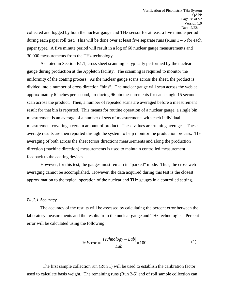collected and logged by both the nuclear gauge and THz sensor for at least a five minute period during each paper roll test. This will be done over at least five separate runs (Runs  $1 - 5$  for each paper type). A five minute period will result in a log of 60 nuclear gauge measurements and 30,000 measurements from the THz technology.

As noted in Section B1.1, cross sheet scanning is typically performed by the nuclear gauge during production at the Appleton facility. The scanning is required to monitor the uniformity of the coating process. As the nuclear gauge scans across the sheet, the product is divided into a number of cross direction "bins". The nuclear gauge will scan across the web at approximately 6 inches per second, producing 96 bin measurements for each single 15 second scan across the product. Then, a number of repeated scans are averaged before a measurement result for that bin is reported. This means for routine operation of a nuclear gauge, a single bin measurement is an average of a number of sets of measurements with each individual measurement covering a certain amount of product. These values are running averages. These average results are then reported through the system to help monitor the production process. The averaging of both across the sheet (cross direction) measurements and along the production direction (machine direction) measurements is used to maintain controlled measurement feedback to the coating devices.

However, for this test, the gauges must remain in "parked" mode. Thus, the cross web averaging cannot be accomplished. However, the data acquired during this test is the closest approximation to the typical operation of the nuclear and THz gauges in a controlled setting.

#### *B1.2.1 Accuracy*

The accuracy of the results will be assessed by calculating the percent error between the laboratory measurements and the results from the nuclear gauge and THz technologies. Percent error will be calculated using the following:

$$
\% Error = \frac{|Technology - Lab|}{Lab} \times 100\tag{1}
$$

 The first sample collection run (Run 1) will be used to establish the calibration factor used to calculate basis weight. The remaining runs (Run 2-5) end of roll sample collection can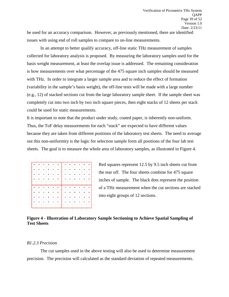be used for an accuracy comparison. However, as previously mentioned, there are identified issues with using end of roll samples to compare to on-line measurements.

In an attempt to better qualify accuracy, off-line static THz measurement of samples collected for laboratory analysis is proposed. By measuring the laboratory samples used for the basis weight measurement, at least the overlap issue is addressed. The remaining consideration is how measurements over what percentage of the 475 square inch samples should be measured with THz. In order to integrate a larger sample area and to reduce the effect of formation (variability in the sample's basis weight), the off-line tests will be made with a large number (e.g., 12) of stacked sections cut from the large laboratory sample sheet. If the sample sheet was completely cut into two inch by two inch square pieces, then eight stacks of 12 sheets per stack could be used for static measurements.

It is important to note that the product under study, coated paper, is inherently non-uniform. Thus, the ToF delay measurements for each "stack" are expected to have different values because they are taken from different positions of the laboratory test sheets. The need to average out this non-uniformity is the logic for selection sample form all positions of the four lab test sheets. The goal is to measure the whole area of laboratory samples, as illustrated in Figure 4.

| ٠ |  |  | ٠ |  |  |  |
|---|--|--|---|--|--|--|
| ٠ |  |  |   |  |  |  |
|   |  |  |   |  |  |  |
|   |  |  |   |  |  |  |
| ٠ |  |  |   |  |  |  |
|   |  |  |   |  |  |  |
|   |  |  |   |  |  |  |
|   |  |  |   |  |  |  |
|   |  |  |   |  |  |  |

Red squares represent 12.5 by 9.5 inch sheets cut from the tear off. The four sheets combine for 475 square inches of sample. The black dots represent the position of a THz measurement when the cut sections are stacked into eight groups of 12 sections.

#### <span id="page-38-0"></span>**Figure 4 - Illustration of Laboratory Sample Sectioning to Achieve Spatial Sampling of Test Sheets**

#### *B1.2.3 Precision*

The cut samples used in the above testing will also be used to determine measurement precision. The precision will calculated as the standard deviation of repeated measurements.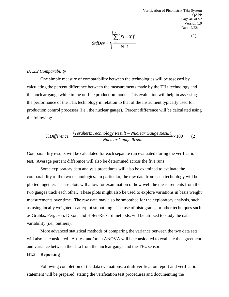Verification of Picometrix THz System QAPP Page 40 of 52 Version 1.0 Date: 2/23/11

$$
StdDev = \sqrt{\frac{\sum_{i=1}^{N} (Xi - X)^2}{N-1}}
$$

(1)

#### *B1.2.2 Comparability*

One simple measure of comparability between the technologies will be assessed by calculating the percent difference between the measurements made by the THz technology and the nuclear gauge while in the on-line production mode. This evaluation will help in assessing the performance of the THz technology in relation to that of the instrument typically used for production control processes (i.e., the nuclear gauge). Percent difference will be calculated using the following:

$$
\% Difference = \frac{(Terahertz Technology Result - Nuclear Gauge Result)}{Nuclear Gauge Result} \times 100 \tag{2}
$$

Comparability results will be calculated for each separate run evaluated during the verification test. Average percent difference will also be determined across the five runs.

Some exploratory data analysis procedures will also be examined to evaluate the comparability of the two technologies. In particular, the raw data from each technology will be plotted together. These plots will allow for examination of how well the measurements from the two gauges track each other. These plots might also be used to explore variations in basis weight measurements over time. The raw data may also be smoothed for the exploratory analysis, such as using locally weighted scatterplot smoothing. The use of histograms, or other techniques such as Grubbs, Ferguson, Dixon, and Hofer-Rickard methods, will be utilized to study the data variability (i.e., outliers).

More advanced statistical methods of comparing the variance between the two data sets will also be considered. A t-test and/or an ANOVA will be considered to evaluate the agreement and variance between the data from the nuclear gauge and the THz sensor.

#### **B1.3 Reporting**

Following completion of the data evaluations, a draft verification report and verification statement will be prepared, stating the verification test procedures and documenting the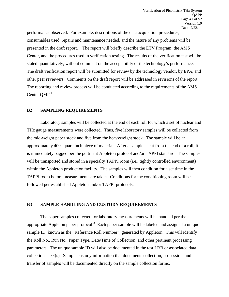performance observed. For example, descriptions of the data acquisition procedures, consumables used, repairs and maintenance needed, and the nature of any problems will be presented in the draft report. The report will briefly describe the ETV Program, the AMS Center, and the procedures used in verification testing. The results of the verification test will be stated quantitatively, without comment on the acceptability of the technology's performance. The draft verification report will be submitted for review by the technology vendor, by EPA, and other peer reviewers. Comments on the draft report will be addressed in revisions of the report. The reporting and review process will be conducted according to the requirements of the AMS Center QMP.<sup>1</sup>

#### <span id="page-40-0"></span>**B2 SAMPLING REQUIREMENTS**

Laboratory samples will be collected at the end of each roll for which a set of nuclear and THz gauge measurements were collected. Thus, five laboratory samples will be collected from the mid-weight paper stock and five from the heavyweight stock. The sample will be an approximately 400 square inch piece of material. After a sample is cut from the end of a roll, it is immediately bagged per the pertinent Appleton protocol and/or TAPPI standard. The samples will be transported and stored in a specialty TAPPI room (i.e., tightly controlled environment) within the Appleton production facility. The samples will then condition for a set time in the TAPPI room before measurements are taken. Conditions for the conditioning room will be followed per established Appleton and/or TAPPI protocols.

#### <span id="page-40-1"></span>**B3 SAMPLE HANDLING AND CUSTODY REQUIREMENTS**

The paper samples collected for laboratory measurements will be handled per the appropriate Appleton paper protocol.<sup>3</sup> Each paper sample will be labeled and assigned a unique sample ID, known as the "Reference Roll Number", generated by Appleton. This will identify the Roll No., Run No., Paper Type, Date/Time of Collection, and other pertinent processing parameters. The unique sample ID will also be documented in the test LRB or associated data collection sheet(s). Sample custody information that documents collection, possession, and transfer of samples will be documented directly on the sample collection forms.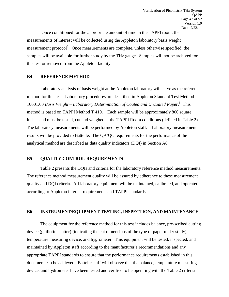Once conditioned for the appropriate amount of time in the TAPPI room, the measurements of interest will be collected using the Appleton laboratory basis weight measurement protocol<sup>3</sup>. Once measurements are complete, unless otherwise specified, the samples will be available for further study by the THz gauge. Samples will not be archived for this test or removed from the Appleton facility.

#### <span id="page-41-0"></span>**B4 REFERENCE METHOD**

Laboratory analysis of basis weight at the Appleton laboratory will serve as the reference method for this test. Laboratory procedures are described in Appleton Standard Test Method 10001.00 *Basis Weight – Laboratory Determination of Coated and Uncoated Paper.*<sup>3</sup> This method is based on TAPPI Method T 410. Each sample will be approximately 800 square inches and must be tested, cut and weighed at the TAPPI Room conditions (defined in Table 2). The laboratory measurements will be performed by Appleton staff. Laboratory measurement results will be provided to Battelle. The QA/QC requirements for the performance of the analytical method are described as data quality indicators (DQI) in Section A8.

#### <span id="page-41-1"></span>**B5 QUALITY CONTROL REQUIREMENTS**

Table 2 presents the DQIs and criteria for the laboratory reference method measurements. The reference method measurement quality will be assured by adherence to these measurement quality and DQI criteria. All laboratory equipment will be maintained, calibrated, and operated according to Appleton internal requirements and TAPPI standards.

#### <span id="page-41-2"></span>**B6 INSTRUMENT/EQUIPMENT TESTING, INSPECTION, AND MAINTENANCE**

The equipment for the reference method for this test includes balance, pre-scribed cutting device (guillotine cutter) (indicating the cut dimensions of the type of paper under study), temperature measuring device, and hygrometer. This equipment will be tested, inspected, and maintained by Appleton staff according to the manufacturer's recommendations and any appropriate TAPPI standards to ensure that the performance requirements established in this document can be achieved. Battelle staff will observe that the balance, temperature measuring device, and hydrometer have been tested and verified to be operating with the Table 2 criteria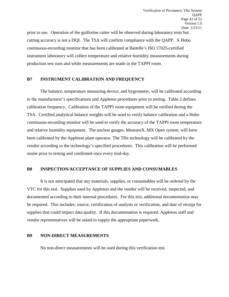prior to use. Operation of the guillotine cutter will be observed during laboratory tests but cutting accuracy is not a DQI. The TSA will confirm compliance with the QAPP. A Hobo continuous-recording monitor that has been calibrated at Battelle's ISO 17025-certified instrument laboratory will collect temperature and relative humidity measurements during production test runs and while measurements are made in the TAPPI room.

#### <span id="page-42-0"></span>**B7 INSTRUMENT CALIBRATION AND FREQUENCY**

The balance, temperature measuring device, and hygrometer, will be calibrated according to the manufacturer's specifications and Appleton procedures prior to testing. Table 2 defines calibration frequency. Calibration of the TAPPI room equipment will be verified during the TSA. Certified analytical balance weights will be used to verify balance calibration and a Hobo continuous-recording monitor will be used to verify the accuracy of the TAPPI room temperature and relative humidity equipment. The nuclear gauges, MeasureX, MX Open system, will have been calibrated by the Appleton plant operator. The THz technology will be calibrated by the vendor according to the technology's specified procedures. This calibration will be performed onsite prior to testing and confirmed once every mid-day.

#### <span id="page-42-1"></span>**B8 INSPECTION/ACCEPTANCE OF SUPPLIES AND CONSUMABLES**

It is not anticipated that any materials, supplies, or consumables will be ordered by the VTC for this test. Supplies used by Appleton and the vendor will be received, inspected, and documented according to their internal procedures. For this test, additional documentation may be required. This includes: source, certification of analysis or verification, and date of receipt for supplies that could impact data quality. If this documentation is required, Appleton staff and vendor representatives will be asked to supply the appropriate paperwork.

#### <span id="page-42-2"></span>**B9 NON-DIRECT MEASUREMENTS**

No non-direct measurements will be used during this verification test.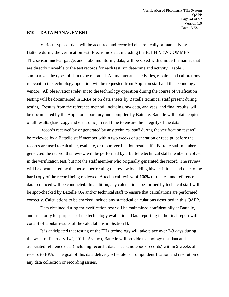#### <span id="page-43-0"></span>**B10 DATA MANAGEMENT**

Various types of data will be acquired and recorded electronically or manually by Battelle during the verification test. Electronic data, including the JOHN NEW COMMENT: THz sensor, nuclear gauge, and Hobo monitoring data, will be saved with unique file names that are directly traceable to the test records for each test run date/time and activity. Table 3 summarizes the types of data to be recorded. All maintenance activities, repairs, and calibrations relevant to the technology operation will be requested from Appleton staff and the technology vendor. All observations relevant to the technology operation during the course of verification testing will be documented in LRBs or on data sheets by Battelle technical staff present during testing. Results from the reference method, including raw data, analyses, and final results, will be documented by the Appleton laboratory and compiled by Battelle. Battelle will obtain copies of all results (hard copy and electronic) in real time to ensure the integrity of the data.

Records received by or generated by any technical staff during the verification test will be reviewed by a Battelle staff member within two weeks of generation or receipt, before the records are used to calculate, evaluate, or report verification results. If a Battelle staff member generated the record, this review will be performed by a Battelle technical staff member involved in the verification test, but not the staff member who originally generated the record. The review will be documented by the person performing the review by adding his/her initials and date to the hard copy of the record being reviewed. A technical review of 100% of the test and reference data produced will be conducted. In addition, any calculations performed by technical staff will be spot-checked by Battelle QA and/or technical staff to ensure that calculations are performed correctly. Calculations to be checked include any statistical calculations described in this QAPP.

Data obtained during the verification test will be maintained confidentially at Battelle, and used only for purposes of the technology evaluation. Data reporting in the final report will consist of tabular results of the calculations in Section B.

It is anticipated that testing of the THz technology will take place over 2-3 days during the week of February  $14<sup>th</sup>$ , 2011. As such, Battelle will provide technology test data and associated reference data (including records; data sheets; notebook records) within 2 weeks of receipt to EPA. The goal of this data delivery schedule is prompt identification and resolution of any data collection or recording issues.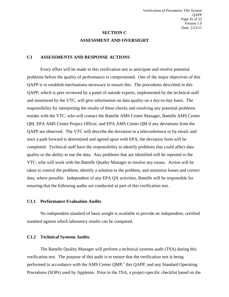# **SECTION C ASSESSMENT AND OVERSIGHT**

#### <span id="page-44-1"></span><span id="page-44-0"></span>**C1 ASSESSMENTS AND RESPONSE ACTIONS**

Every effort will be made in this verification test to anticipate and resolve potential problems before the quality of performance is compromised. One of the major objectives of this QAPP is to establish mechanisms necessary to ensure this. The procedures described in this QAPP, which is peer reviewed by a panel of outside experts, implemented by the technical staff and monitored by the VTC, will give information on data quality on a day-to-day basis. The responsibility for interpreting the results of these checks and resolving any potential problems resides with the VTC, who will contact the Battelle AMS Center Manager, Battelle AMS Center QM, EPA AMS Center Project Officer, and EPA AMS Center QM if any deviations from the QAPP are observed. The VTC will describe the deviation in a teleconference or by email, and once a path forward is determined and agreed upon with EPA, the deviation form will be completed. Technical staff have the responsibility to identify problems that could affect data quality or the ability to use the data. Any problems that are identified will be reported to the VTC, who will work with the Battelle Quality Manager to resolve any issues. Action will be taken to control the problem, identify a solution to the problem, and minimize losses and correct data, where possible. Independent of any EPA QA activities, Battelle will be responsible for ensuring that the following audits are conducted as part of this verification test.

#### **C1.1 Performance Evaluation Audits**

No independent standard of basis weight is available to provide an independent, certified standard against which laboratory results can be compared.

#### **C1.2 Technical Systems Audits**

The Battelle Quality Manager will perform a technical systems audit (TSA) during this verification test. The purpose of this audit is to ensure that the verification test is being performed in accordance with the AMS Center  $QMP$ ,<sup>1</sup> this  $QAPP$ , and any Standard Operating Procedures (SOPs) used by Appleton. Prior to the TSA, a project-specific checklist based on the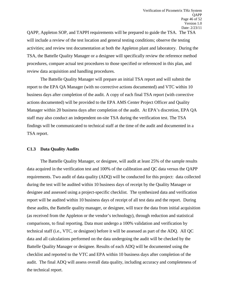QAPP, Appleton SOP, and TAPPI requirements will be prepared to guide the TSA. The TSA will include a review of the test location and general testing conditions; observe the testing activities; and review test documentation at both the Appleton plant and laboratory. During the TSA, the Battelle Quality Manager or a designee will specifically review the reference method procedures, compare actual test procedures to those specified or referenced in this plan, and review data acquisition and handling procedures.

The Battelle Quality Manager will prepare an initial TSA report and will submit the report to the EPA QA Manager (with no corrective actions documented) and VTC within 10 business days after completion of the audit. A copy of each final TSA report (with corrective actions documented) will be provided to the EPA AMS Center Project Officer and Quality Manager within 20 business days after completion of the audit. At EPA's discretion, EPA QA staff may also conduct an independent on-site TSA during the verification test. The TSA findings will be communicated to technical staff at the time of the audit and documented in a TSA report.

#### **C1.3 Data Quality Audits**

The Battelle Quality Manager, or designee, will audit at least 25% of the sample results data acquired in the verification test and 100% of the calibration and QC data versus the QAPP requirements. Two audit of data quality (ADQ) will be conducted for this project: data collected during the test will be audited within 10 business days of receipt by the Quality Manager or designee and assessed using a project-specific checklist. The synthesized data and verification report will be audited within 10 business days of receipt of all test data and the report. During these audits, the Battelle quality manager, or designee, will trace the data from initial acquisition (as received from the Appleton or the vendor's technology), through reduction and statistical comparisons, to final reporting. Data must undergo a 100% validation and verification by technical staff (i.e., VTC, or designee) before it will be assessed as part of the ADQ. All QC data and all calculations performed on the data undergoing the audit will be checked by the Battelle Quality Manager or designee. Results of each ADQ will be documented using the checklist and reported to the VTC and EPA within 10 business days after completion of the audit. The final ADQ will assess overall data quality, including accuracy and completeness of the technical report.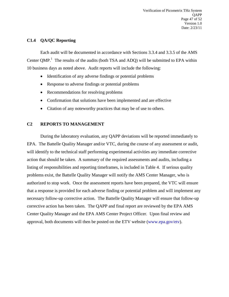#### **C1.4 QA/QC Reporting**

Each audit will be documented in accordance with Sections 3.3.4 and 3.3.5 of the AMS Center QMP.<sup>1</sup> The results of the audits (both TSA and ADQ) will be submitted to EPA within 10 business days as noted above. Audit reports will include the following:

- Identification of any adverse findings or potential problems
- Response to adverse findings or potential problems
- Recommendations for resolving problems
- Confirmation that solutions have been implemented and are effective
- Citation of any noteworthy practices that may be of use to others.

#### <span id="page-46-0"></span>**C2 REPORTS TO MANAGEMENT**

During the laboratory evaluation, any QAPP deviations will be reported immediately to EPA. The Battelle Quality Manager and/or VTC, during the course of any assessment or audit, will identify to the technical staff performing experimental activities any immediate corrective action that should be taken. A summary of the required assessments and audits, including a listing of responsibilities and reporting timeframes, is included in Table 4. If serious quality problems exist, the Battelle Quality Manager will notify the AMS Center Manager, who is authorized to stop work. Once the assessment reports have been prepared, the VTC will ensure that a response is provided for each adverse finding or potential problem and will implement any necessary follow-up corrective action. The Battelle Quality Manager will ensure that follow-up corrective action has been taken. The QAPP and final report are reviewed by the EPA AMS Center Quality Manager and the EPA AMS Center Project Officer. Upon final review and approval, both documents will then be posted on the ETV website [\(www.epa.gov/etv\)](http://www.epa.gov/etv).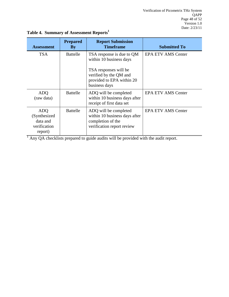| <b>Assessment</b>                                                  | <b>Prepared</b><br>$\mathbf{By}$ | <b>Report Submission</b><br><b>Timeframe</b>                                                              | <b>Submitted To</b>       |
|--------------------------------------------------------------------|----------------------------------|-----------------------------------------------------------------------------------------------------------|---------------------------|
| <b>TSA</b>                                                         | <b>Battelle</b>                  | TSA response is due to QM<br>within 10 business days                                                      | <b>EPA ETV AMS Center</b> |
|                                                                    |                                  | TSA responses will be<br>verified by the QM and<br>provided to EPA within 20<br>business days             |                           |
| <b>ADQ</b><br>(raw data)                                           | <b>Battelle</b>                  | ADQ will be completed<br>within 10 business days after<br>receipt of first data set                       | <b>EPA ETV AMS Center</b> |
| <b>ADO</b><br>(Synthesized)<br>data and<br>verification<br>report) | <b>Battelle</b>                  | ADQ will be completed<br>within 10 business days after<br>completion of the<br>verification report review | <b>EPA ETV AMS Center</b> |

# <span id="page-47-0"></span>**Table 4. Summary of Assessment Reports<sup>1</sup>**

<sup>1</sup> Any QA checklists prepared to guide audits will be provided with the audit report.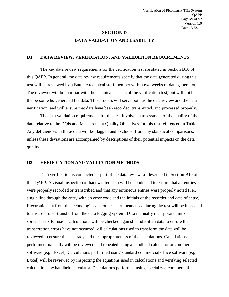# **SECTION D DATA VALIDATION AND USABILITY**

#### <span id="page-48-1"></span><span id="page-48-0"></span>**D1 DATA REVIEW, VERIFICATION, AND VALIDATION REQUIREMENTS**

The key data review requirements for the verification test are stated in Section B10 of this QAPP. In general, the data review requirements specify that the data generated during this test will be reviewed by a Battelle technical staff member within two weeks of data generation. The reviewer will be familiar with the technical aspects of the verification test, but will not be the person who generated the data. This process will serve both as the data review and the data verification, and will ensure that data have been recorded, transmitted, and processed properly.

The data validation requirements for this test involve an assessment of the quality of the data relative to the DQIs and Measurement Quality Objectives for this test referenced in Table 2. Any deficiencies in these data will be flagged and excluded from any statistical comparisons, unless these deviations are accompanied by descriptions of their potential impacts on the data quality.

#### <span id="page-48-2"></span>**D2 VERIFICATION AND VALIDATION METHODS**

Data verification is conducted as part of the data review, as described in Section B10 of this QAPP. A visual inspection of handwritten data will be conducted to ensure that all entries were properly recorded or transcribed and that any erroneous entries were properly noted (i.e., single line through the entry with an error code and the initials of the recorder and date of entry). Electronic data from the technologies and other instruments used during the test will be inspected to ensure proper transfer from the data logging system. Data manually incorporated into spreadsheets for use in calculations will be checked against handwritten data to ensure that transcription errors have not occurred. All calculations used to transform the data will be reviewed to ensure the accuracy and the appropriateness of the calculations. Calculations performed manually will be reviewed and repeated using a handheld calculator or commercial software (e.g., Excel). Calculations performed using standard commercial office software (e.g., Excel) will be reviewed by inspecting the equations used in calculations and verifying selected calculations by handheld calculator. Calculations performed using specialized commercial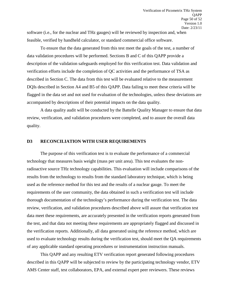software (i.e., for the nuclear and THz gauges) will be reviewed by inspection and, when feasible, verified by handheld calculator, or standard commercial office software.

To ensure that the data generated from this test meet the goals of the test, a number of data validation procedures will be performed. Sections B and C of this QAPP provide a description of the validation safeguards employed for this verification test. Data validation and verification efforts include the completion of QC activities and the performance of TSA as described in Section C. The data from this test will be evaluated relative to the measurement DQIs described in Section A4 and B5 of this QAPP. Data failing to meet these criteria will be flagged in the data set and not used for evaluation of the technologies, unless these deviations are accompanied by descriptions of their potential impacts on the data quality.

A data quality audit will be conducted by the Battelle Quality Manager to ensure that data review, verification, and validation procedures were completed, and to assure the overall data quality.

#### <span id="page-49-0"></span>**D3 RECONCILIATION WITH USER REQUIREMENTS**

The purpose of this verification test is to evaluate the performance of a commercial technology that measures basis weight (mass per unit area). This test evaluates the nonradioactive source THz technology capabilities. This evaluation will include comparisons of the results from the technology to results from the standard laboratory technique, which is being used as the reference method for this test and the results of a nuclear gauge. To meet the requirements of the user community, the data obtained in such a verification test will include thorough documentation of the technology's performance during the verification test. The data review, verification, and validation procedures described above will assure that verification test data meet these requirements, are accurately presented in the verification reports generated from the test, and that data not meeting these requirements are appropriately flagged and discussed in the verification reports. Additionally, all data generated using the reference method, which are used to evaluate technology results during the verification test, should meet the QA requirements of any applicable standard operating procedures or instrumentation instruction manuals.

This QAPP and any resulting ETV verification report generated following procedures described in this QAPP will be subjected to review by the participating technology vendor, ETV AMS Center staff, test collaborators, EPA, and external expert peer reviewers. These reviews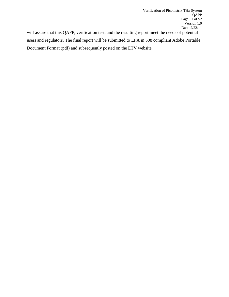will assure that this QAPP, verification test, and the resulting report meet the needs of potential users and regulators. The final report will be submitted to EPA in 508 compliant Adobe Portable Document Format (pdf) and subsequently posted on the ETV website.